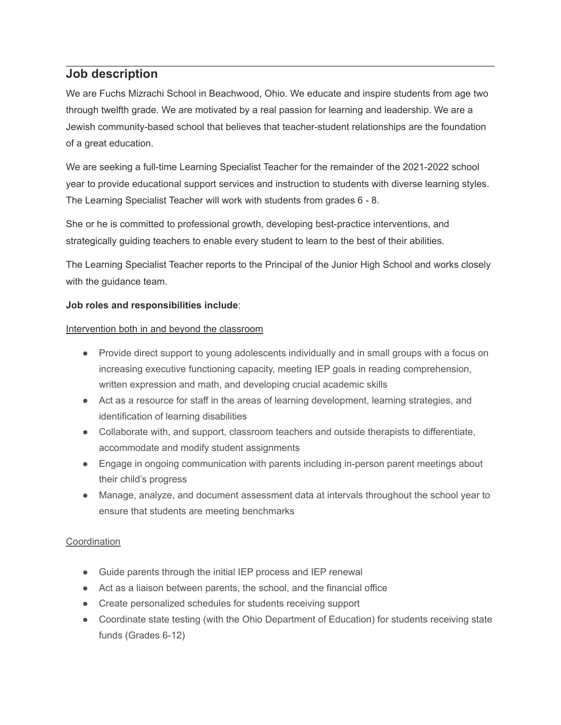# **Job description**

We are Fuchs Mizrachi School in Beachwood, Ohio. We educate and inspire students from age two through twelfth grade. We are motivated by a real passion for learning and leadership. We are a Jewish community-based school that believes that teacher-student relationships are the foundation of a great education.

We are seeking a full-time Learning Specialist Teacher for the remainder of the 2021-2022 school year to provide educational support services and instruction to students with diverse learning styles. The Learning Specialist Teacher will work with students from grades 6 - 8.

She or he is committed to professional growth, developing best-practice interventions, and strategically guiding teachers to enable every student to learn to the best of their abilities.

The Learning Specialist Teacher reports to the Principal of the Junior High School and works closely with the guidance team.

## **Job roles and responsibilities include**:

## Intervention both in and beyond the classroom

- Provide direct support to young adolescents individually and in small groups with a focus on increasing executive functioning capacity, meeting IEP goals in reading comprehension, written expression and math, and developing crucial academic skills
- Act as a resource for staff in the areas of learning development, learning strategies, and identification of learning disabilities
- Collaborate with, and support, classroom teachers and outside therapists to differentiate, accommodate and modify student assignments
- Engage in ongoing communication with parents including in-person parent meetings about their child's progress
- Manage, analyze, and document assessment data at intervals throughout the school year to ensure that students are meeting benchmarks

# **Coordination**

- Guide parents through the initial IEP process and IEP renewal
- Act as a liaison between parents, the school, and the financial office
- Create personalized schedules for students receiving support
- Coordinate state testing (with the Ohio Department of Education) for students receiving state funds (Grades 6-12)